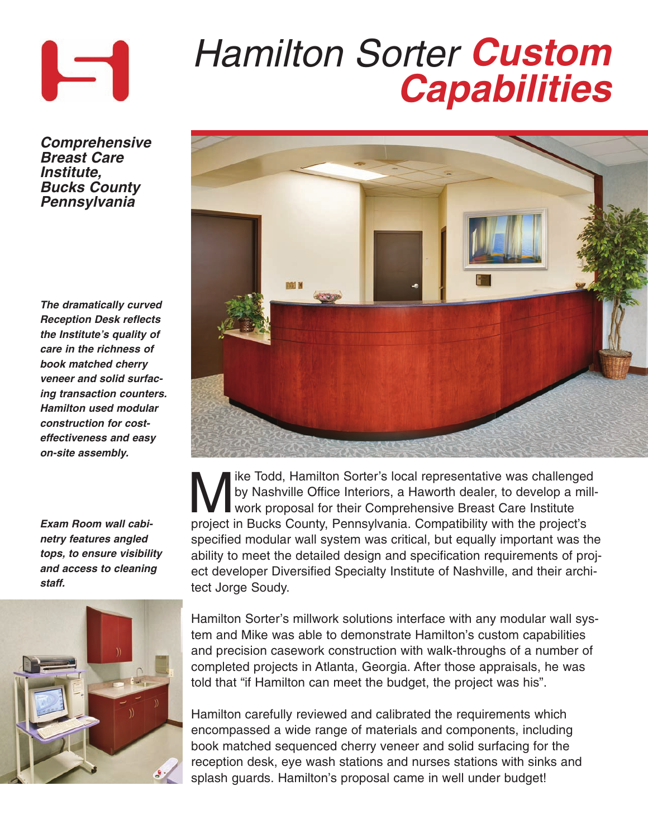

## **Hamilton Sorter Custom Capabilities**

**Comprehensive Breast Care Institute, Bucks County Pennsylvania**

**The dramatically curved Reception Desk reflects the Institute's quality of care in the richness of book matched cherry veneer and solid surfacing transaction counters. Hamilton used modular construction for costeffectiveness and easy on-site assembly.** 

**Exam Room wall cabinetry features angled tops, to ensure visibility and access to cleaning staff.** 





We Todd, Hamilton Sorter's local representative was challenged<br>by Nashville Office Interiors, a Haworth dealer, to develop a mill<br>work proposal for their Comprehensive Breast Care Institute<br>project in Bucks County Bonneyly by Nashville Office Interiors, a Haworth dealer, to develop a millwork proposal for their Comprehensive Breast Care Institute project in Bucks County, Pennsylvania. Compatibility with the project's specified modular wall system was critical, but equally important was the ability to meet the detailed design and specification requirements of project developer Diversified Specialty Institute of Nashville, and their architect Jorge Soudy.

Hamilton Sorter's millwork solutions interface with any modular wall system and Mike was able to demonstrate Hamilton's custom capabilities and precision casework construction with walk-throughs of a number of completed projects in Atlanta, Georgia. After those appraisals, he was told that "if Hamilton can meet the budget, the project was his".

Hamilton carefully reviewed and calibrated the requirements which encompassed a wide range of materials and components, including book matched sequenced cherry veneer and solid surfacing for the reception desk, eye wash stations and nurses stations with sinks and splash guards. Hamilton's proposal came in well under budget!